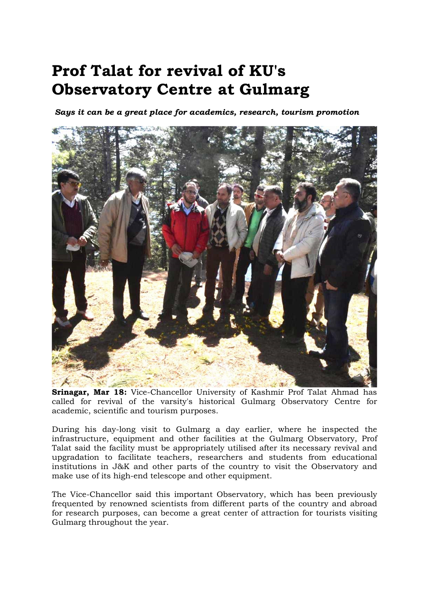## Prof Talat for revival of KU's Observatory Centre at Gulmarg

Says it can be a great place for academics, research, tourism promotion



Srinagar, Mar 18: Vice-Chancellor University of Kashmir Prof Talat Ahmad has called for revival of the varsity's historical Gulmarg Observatory Centre for academic, scientific and tourism purposes.

During his day-long visit to Gulmarg a day earlier, where he inspected the infrastructure, equipment and other facilities at the Gulmarg Observatory, Prof Talat said the facility must be appropriately utilised after its necessary revival and upgradation to facilitate teachers, researchers and students from educational institutions in J&K and other parts of the country to visit the Observatory and make use of its high-end telescope and other equipment.

The Vice-Chancellor said this important Observatory, which has been previously frequented by renowned scientists from different parts of the country and abroad for research purposes, can become a great center of attraction for tourists visiting Gulmarg throughout the year.